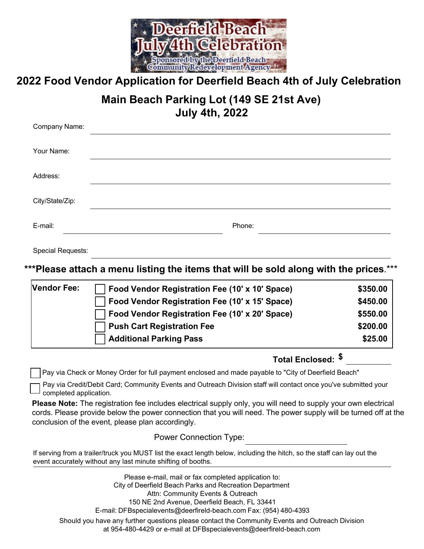

 **2022 Food Vendor Application for Deerfield Beach 4th of July Celebration** 

# **Main Beach Parking Lot (149 SE 21st Ave) July 4th, 2022**

| Company Name:   |        |
|-----------------|--------|
| Your Name:      |        |
| Address:        |        |
| City/State/Zip: |        |
| E-mail:         | Phone: |

Special Requests:

 **\*\*\*Please attach a menu listing the items that will be sold along with the prices**.\*\*\*

| <b>Vendor Fee:</b> | Food Vendor Registration Fee (10' x 10' Space) | \$350.00 |
|--------------------|------------------------------------------------|----------|
|                    | Food Vendor Registration Fee (10' x 15' Space) | \$450.00 |
|                    | Food Vendor Registration Fee (10' x 20' Space) | \$550.00 |
|                    | □ Push Cart Registration Fee                   | \$200.00 |
|                    | Additional Parking Pass                        | \$25.00  |

# **Total Enclosed: \$**

Pay via Check or Money Order for full payment enclosed and made payable to "City of Deerfield Beach"

 Pay via Credit/Debit Card; Community Events and Outreach Division staff will contact once you've submitted your completed application.

**Please Note:** The registration fee includes electrical supply only, you will need to supply your own electrical cords. Please provide below the power connection that you will need. The power supply will be turned off at the conclusion of the event, please plan accordingly.

Power Connection Type:

 If serving from a trailer/truck you MUST list the exact length below, including the hitch, so the staff can lay out the event accurately without any last minute shifting of booths.

 Please e-mail, mail or fax completed application to: Attn: Community Events & Outreach City of Deerfield Beach Parks and Recreation Department 150 NE 2nd Avenue, Deerfield Beach, FL 33441 E-mail: [DFBspecialevents@deerfireld-beach.com](mailto:DFBspecialevents@deerfireld-beach.com) Fax: (954) 480-4393 Should you have any further questions please contact the Community Events and Outreach Division at 954-480-4429 or e-mail at [DFBspecialevents@deerfireld-beach.com](mailto:DFBspecialevents@deerfireld-beach.com)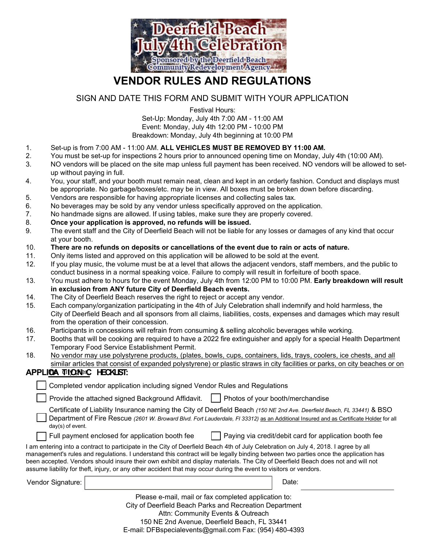

# **VENDOR RULES AND REGULATIONS**

# SIGN AND DATE THIS FORM AND SUBMIT WITH YOUR APPLICATION

Festival Hours: Set-Up: Monday, July 4th 7:00 AM - 11:00 AM Event: Monday, July 4th 12:00 PM - 10:00 PM

Breakdown: Monday, July 4th beginning at 10:00 PM

- $\mathbf{1}$ . Set-up is from 7:00 AM - 11:00 AM. ALL VEHICLES MUST BE REMOVED BY 11:00 AM.
- $2<sup>1</sup>$ 2. You must be set-up for inspections 2 hours prior to announced opening time on Monday, July 4th (10:00 AM).
- 3. NO vendors will be placed on the site map unless full payment has been received. NO vendors will be allowed to setup without paying in full.
- 4. be appropriate. No garbage/boxes/etc. may be in view. All boxes must be broken down before discarding. 4. You, your staff, and your booth must remain neat, clean and kept in an orderly fashion. Conduct and displays must
- 5. Vendors are responsible for having appropriate licenses and collecting sales tax.
- 6. No beverages may be sold by any vendor unless specifically approved on the application.
- 7. No handmade signs are allowed. If using tables, make sure they are properly covered.
- 8. **Once your application is approved, no refunds will be issued.**
- 9. The event staff and the City of Deerfield Beach will not be liable for any losses or damages of any kind that occur at your booth.
- 10. **There are no refunds on deposits or cancellations of the event due to rain or acts of nature.**
- $11.$ Only items listed and approved on this application will be allowed to be sold at the event.
- $12.$  conduct business in a normal speaking voice. Failure to comply will result in forfeiture of booth space. If you play music, the volume must be at a level that allows the adjacent vendors, staff members, and the public to
- $13.$ 13. You must adhere to hours for the event Monday, July 4th from 12:00 PM to 10:00 PM. **Early breakdown will result in exclusion from ANY future City of Deerfield Beach events.**
- $14.$ The City of Deerfield Beach reserves the right to reject or accept any vendor.
- $15.$  City of Deerfield Beach and all sponsors from all claims, liabilities, costs, expenses and damages which may result Each company/organization participating in the 4th of July Celebration shall indemnify and hold harmless, the from the operation of their concession.
- 16. Participants in concessions will refrain from consuming & selling alcoholic beverages while working.
- $17.$ Booths that will be cooking are required to have a 2022 fire extinguisher and apply for a special Health Department Temporary Food Service Establishment Permit.
- 18. No vendor may use polystyrene products, (plates, bowls, cups, containers, lids, trays, coolers, ice chests, and all similar articles that consist of expanded polystyrene) or plastic straws in city facilities or parks, on city beaches or on

## **APPLICA TION C** the city pier. **HECKLIST:**

| Completed vendor application including signed Vendor Rules and Regulations                                                                                                                                                                                                            |                                                                                                                                                                                                                                                                                                                                                                                                               |  |  |  |  |
|---------------------------------------------------------------------------------------------------------------------------------------------------------------------------------------------------------------------------------------------------------------------------------------|---------------------------------------------------------------------------------------------------------------------------------------------------------------------------------------------------------------------------------------------------------------------------------------------------------------------------------------------------------------------------------------------------------------|--|--|--|--|
| Provide the attached signed Background Affidavit.                                                                                                                                                                                                                                     | Photos of your booth/merchandise                                                                                                                                                                                                                                                                                                                                                                              |  |  |  |  |
| Certificate of Liability Insurance naming the City of Deerfield Beach (150 NE 2nd Ave. Deerfield Beach, FL 33441) & BSO<br>Department of Fire Rescue (2601 W. Broward Blvd. Fort Lauderdale, FI 33312) as an Additional Insured and as Certificate Holder for all<br>day(s) of event. |                                                                                                                                                                                                                                                                                                                                                                                                               |  |  |  |  |
| Paying via credit/debit card for application booth fee<br>Full payment enclosed for application booth fee                                                                                                                                                                             |                                                                                                                                                                                                                                                                                                                                                                                                               |  |  |  |  |
| assume liability for theft, injury, or any other accident that may occur during the event to visitors or vendors.                                                                                                                                                                     | I am entering into a contract to participate in the City of Deerfield Beach 4th of July Celebration on July 4, 2018. I agree by all<br>management's rules and regulations. I understand this contract will be legally binding between two parties once the application has<br>been accepted. Vendors should insure their own exhibit and display materials. The City of Deerfield Beach does not and will not |  |  |  |  |
| Vendor Signature:                                                                                                                                                                                                                                                                     | Date:                                                                                                                                                                                                                                                                                                                                                                                                         |  |  |  |  |
|                                                                                                                                                                                                                                                                                       | Please e-mail, mail or fax completed application to:                                                                                                                                                                                                                                                                                                                                                          |  |  |  |  |
| City of Deerfield Beach Parks and Recreation Department<br>Attn: Community Events & Outreach                                                                                                                                                                                          |                                                                                                                                                                                                                                                                                                                                                                                                               |  |  |  |  |
| 150 NE 2nd Avenue, Deerfield Beach, FL 33441                                                                                                                                                                                                                                          |                                                                                                                                                                                                                                                                                                                                                                                                               |  |  |  |  |

E-mail: DFBspecialevents@gmail.com Fax: (954) 480-4393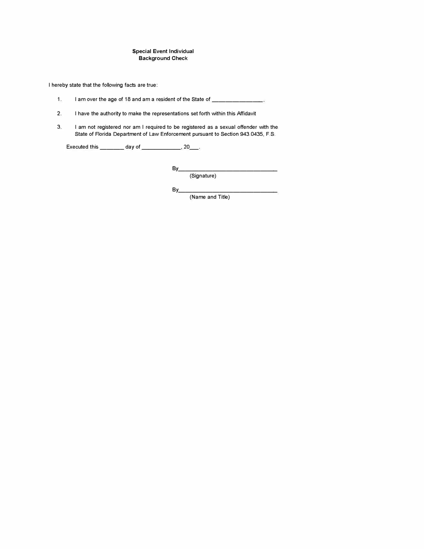#### **Special Event Individual Background** Check

I hereby state that the following facts are true:

- 1. I am over the age of 18 and am a resident of the State of \_\_\_\_\_\_\_\_\_\_\_
- 2. I have the authority to make the representations set forth within this Affidavit
- 3. I am not registered nor am I required to be registered as a sexual offender with the State of Florida Department of Law Enforcement pursuant to Section 943.0435, F.S.

Executed this \_\_\_\_\_\_\_ day of \_\_\_\_\_\_\_\_\_\_, 20\_\_.

By \_\_\_\_\_\_\_\_\_\_\_\_\_\_ \_ (Signature)

By \_\_\_\_\_\_\_\_\_\_\_\_\_\_ \_ (Name and Title)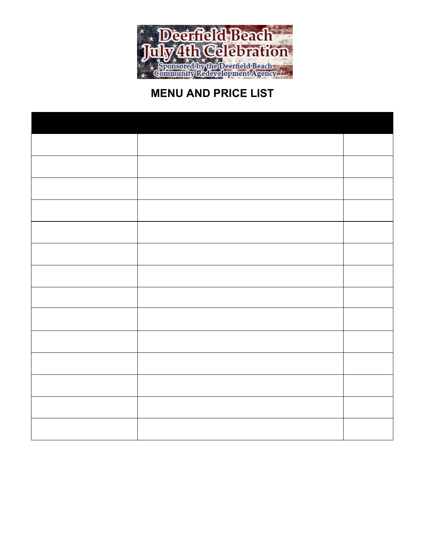

# **MENU AND PRICE LIST**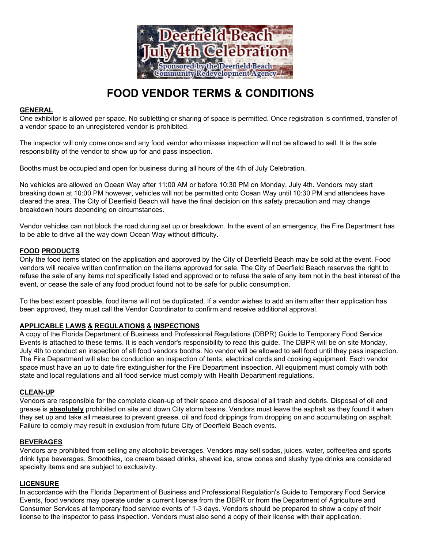

# **FOOD VENDOR TERMS & CONDITIONS**

#### **GENERAL**

 One exhibitor is allowed per space. No subletting or sharing of space is permitted. Once registration is confirmed, transfer of a vendor space to an unregistered vendor is prohibited.

 The inspector will only come once and any food vendor who misses inspection will not be allowed to sell. It is the sole responsibility of the vendor to show up for and pass inspection.

Booths must be occupied and open for business during all hours of the 4th of July Celebration.

 No vehicles are allowed on Ocean Way after 11:00 AM or before 10:30 PM on Monday, July 4th. Vendors may start breaking down at 10:00 PM however, vehicles will not be permitted onto Ocean Way until 10:30 PM and attendees have cleared the area. The City of Deerfield Beach will have the final decision on this safety precaution and may change breakdown hours depending on circumstances.

 Vendor vehicles can not block the road during set up or breakdown. In the event of an emergency, the Fire Department has to be able to drive all the way down Ocean Way without difficulty.

#### **FOOD PRODUCTS**

 refuse the sale of any items not specifically listed and approved or to refuse the sale of any item not in the best interest of the event, or cease the sale of any food product found not to be safe for public consumption. Only the food items stated on the application and approved by the City of Deerfield Beach may be sold at the event. Food vendors will receive written confirmation on the items approved for sale. The City of Deerfield Beach reserves the right to

 To the best extent possible, food items will not be duplicated. If a vendor wishes to add an item after their application has been approved, they must call the Vendor Coordinator to confirm and receive additional approval.

#### **APPLICABLE LAWS & REGULATIONS & INSPECTIONS**

 A copy of the Florida Department of Business and Professional Regulations (DBPR) Guide to Temporary Food Service Events is attached to these terms. It is each vendor's responsibility to read this guide. The DBPR will be on site Monday, July 4th to conduct an inspection of all food vendors booths. No vendor will be allowed to sell food until they pass inspection. The Fire Department will also be conduction an inspection of tents, electrical cords and cooking equipment. Each vendor space must have an up to date fire extinguisher for the Fire Department inspection. All equipment must comply with both state and local regulations and all food service must comply with Health Department regulations.

#### **CLEAN-UP**

Vendors are responsible for the complete clean-up of their space and disposal of all trash and debris. Disposal of oil and grease is **absolutely** prohibited on site and down City storm basins. Vendors must leave the asphalt as they found it when they set up and take all measures to prevent grease, oil and food drippings from dropping on and accumulating on asphalt. Failure to comply may result in exclusion from future City of Deerfield Beach events.

#### **BEVERAGES**

 Vendors are prohibited from selling any alcoholic beverages. Vendors may sell sodas, juices, water, coffee/tea and sports drink type beverages. Smoothies, ice cream based drinks, shaved ice, snow cones and slushy type drinks are considered specialty items and are subject to exclusivity.

#### **LICENSURE**

 In accordance with the Florida Department of Business and Professional Regulation's Guide to Temporary Food Service Events, food vendors may operate under a current license from the DBPR or from the Department of Agriculture and Consumer Services at temporary food service events of 1-3 days. Vendors should be prepared to show a copy of their license to the inspector to pass inspection. Vendors must also send a copy of their license with their application.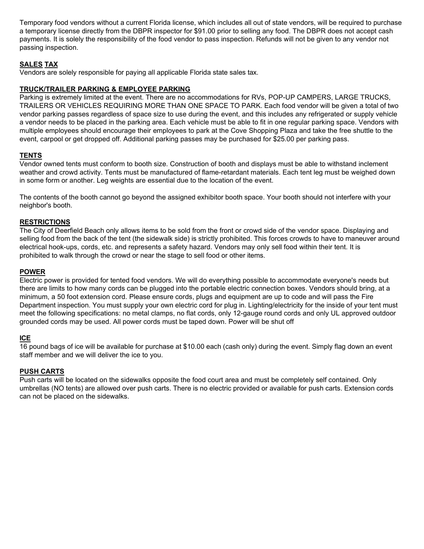Temporary food vendors without a current Florida license, which includes all out of state vendors, will be required to purchase payments. It is solely the responsibility of the food vendor to pass inspection. Refunds will not be given to any vendor not a temporary license directly from the DBPR inspector for \$91.00 prior to selling any food. The DBPR does not accept cash passing inspection.

#### **SALES TAX**

Vendors are solely responsible for paying all applicable Florida state sales tax.

# **TRUCK/TRAILER PARKING & EMPLOYEE PARKING**

 TRAILERS OR VEHICLES REQUIRING MORE THAN ONE SPACE TO PARK. Each food vendor will be given a total of two a vendor needs to be placed in the parking area. Each vehicle must be able to fit in one regular parking space. Vendors with Parking is extremely limited at the event. There are no accommodations for RVs, POP-UP CAMPERS, LARGE TRUCKS, vendor parking passes regardless of space size to use during the event, and this includes any refrigerated or supply vehicle multiple employees should encourage their employees to park at the Cove Shopping Plaza and take the free shuttle to the event, carpool or get dropped off. Additional parking passes may be purchased for \$25.00 per parking pass.

#### **TENTS**

 weather and crowd activity. Tents must be manufactured of flame-retardant materials. Each tent leg must be weighed down Vendor owned tents must conform to booth size. Construction of booth and displays must be able to withstand inclement in some form or another. Leg weights are essential due to the location of the event.

 The contents of the booth cannot go beyond the assigned exhibitor booth space. Your booth should not interfere with your neighbor's booth.

#### **RESTRICTIONS**

 The City of Deerfield Beach only allows items to be sold from the front or crowd side of the vendor space. Displaying and selling food from the back of the tent (the sidewalk side) is strictly prohibited. This forces crowds to have to maneuver around electrical hook-ups, cords, etc. and represents a safety hazard. Vendors may only sell food within their tent. It is prohibited to walk through the crowd or near the stage to sell food or other items.

#### **POWER**

 minimum, a 50 foot extension cord. Please ensure cords, plugs and equipment are up to code and will pass the Fire Department inspection. You must supply your own electric cord for plug in. Lighting/electricity for the inside of your tent must meet the following specifications: no metal clamps, no flat cords, only 12-gauge round cords and only UL approved outdoor grounded cords may be used. All power cords must be taped down. Power will be shut off Electric power is provided for tented food vendors. We will do everything possible to accommodate everyone's needs but there are limits to how many cords can be plugged into the portable electric connection boxes. Vendors should bring, at a

#### **ICE**

 16 pound bags of ice will be available for purchase at \$10.00 each (cash only) during the event. Simply flag down an event staff member and we will deliver the ice to you.

#### **PUSH CARTS**

 Push carts will be located on the sidewalks opposite the food court area and must be completely self contained. Only umbrellas (NO tents) are allowed over push carts. There is no electric provided or available for push carts. Extension cords can not be placed on the sidewalks.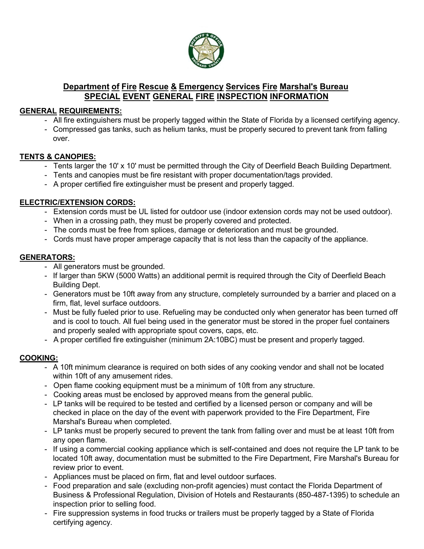

# **Department of Fire Rescue & Emergency Services Fire Marshal's Bureau SPECIAL EVENT GENERAL FIRE INSPECTION INFORMATION**

## **GENERAL REQUIREMENTS:**

- All fire extinguishers must be properly tagged within the State of Florida by a licensed certifying agency.
- Compressed gas tanks, such as helium tanks, must be properly secured to prevent tank from falling over.

### **TENTS & CANOPIES:**

- Tents larger the 10' x 10' must be permitted through the City of Deerfield Beach Building Department.
- Tents and canopies must be fire resistant with proper documentation/tags provided.
- A proper certified fire extinguisher must be present and properly tagged.

## **ELECTRIC/EXTENSION CORDS:**

- Extension cords must be UL listed for outdoor use (indoor extension cords may not be used outdoor).
- When in a crossing path, they must be properly covered and protected.
- The cords must be free from splices, damage or deterioration and must be grounded.
- Cords must have proper amperage capacity that is not less than the capacity of the appliance.

## **GENERATORS:**

- All generators must be grounded.
- If larger than 5KW (5000 Watts) an additional permit is required through the City of Deerfield Beach Building Dept.
- Generators must be 10ft away from any structure, completely surrounded by a barrier and placed on a firm, flat, level surface outdoors.
- Must be fully fueled prior to use. Refueling may be conducted only when generator has been turned off and is cool to touch. All fuel being used in the generator must be stored in the proper fuel containers and properly sealed with appropriate spout covers, caps, etc.
- A proper certified fire extinguisher (minimum 2A:10BC) must be present and properly tagged.

## **COOKING:**

- A 10ft minimum clearance is required on both sides of any cooking vendor and shall not be located within 10ft of any amusement rides.
- Open flame cooking equipment must be a minimum of 10ft from any structure.
- Cooking areas must be enclosed by approved means from the general public.
- LP tanks will be required to be tested and certified by a licensed person or company and will be checked in place on the day of the event with paperwork provided to the Fire Department, Fire Marshal's Bureau when completed.
- LP tanks must be properly secured to prevent the tank from falling over and must be at least 10ft from any open flame.
- If using a commercial cooking appliance which is self-contained and does not require the LP tank to be located 10ft away, documentation must be submitted to the Fire Department, Fire Marshal's Bureau for review prior to event.
- Appliances must be placed on firm, flat and level outdoor surfaces.
- Food preparation and sale (excluding non-profit agencies) must contact the Florida Department of Business & Professional Regulation, Division of Hotels and Restaurants (850-487-1395) to schedule an inspection prior to selling food.
- Fire suppression systems in food trucks or trailers must be properly tagged by a State of Florida certifying agency.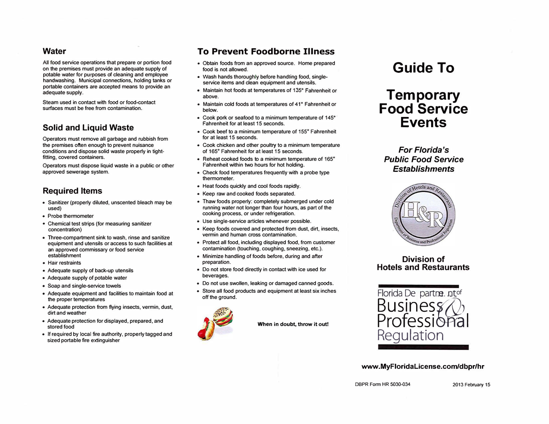#### **Water**

**All food service operations that prepare or portion food on the premises must provide an adequate supply of potable water for purposes of cleaning and employee handwashing. Municipal connections, holding tanks or portable containers are accepted means to provide an adequate supply.** 

**Steam used in contact with food or food-contact surfaces must be free from contamination.** 

# **Solid and Liquid Waste**

**Operators must remove all garbage and rubbish from the premises often enough to prevent nuisance conditions and dispose solid waste property in tightfitting, covered containers.** 

**Operators must dispose liquid waste in a public or other approved sewerage system.** 

# **Required Items**

- **Sanitizer (property diluted, unscented bleach may be used)**
- **Probe thermometer**
- **Chemical test strips (for measuring sanitizer concentration)**
- **Three-compartment sink to wash, rinse and sanitize equipment and utensils or access to such facilities at an approved commissary or food service establishment**
- **Hair restraints**
- **Adequate supply of back-up utensils**
- **Adequate supply of potable water**
- **Soap and single-service towels**
- **Adequate equipment and facilities to maintain food at the proper temperatures**
- **Adequate protection from flying insects, vermin, dust, dirt and weather**
- **Adequate protection for displayed, prepared, and stored food**
- **If required by local fire authority, properly tagged and sized portable fire extinguisher**

# **To Prevent Foodborne Illness**

- **Obtain foods from an approved source. Home prepared food is not allowed.**
- **Wash hands thoroughly before handling food, singleservice items and clean equipment and utensils.**
- **Maintain hot foods at temperatures of 135° Fahrenheit or above.**
- **Maintain cold foods at temperatures of 41 Fahrenheit or below.**
- **Cook pork or seafood to a minimum temperature of 145° Fahrenheit for at least 15 seconds.**
- **Cook beef to a minimum temperature of 155° Fahrenheit for at least 15 seconds.**
- **Cook chicken and other poultry to a minimum temperature of 165° Fahrenheit for at least 15 seconds.**
- **Reheat cooked foods to a minimum temperature of 165° Fahrenheit within two hours for hot holding.**
- **• Check food temperatures frequently with a probe type thermometer.**
- **Heat foods quickly and cool foods rapidly.**
- **Keep raw and cooked foods separated.**
- **Thaw foods property: completely submerged under cold running water not longer than four hours, as part of the cooking process. or under refrigeration.**
- **Use single-service articles whenever possible.**
- **Keep foods covered and protected from dust, dirt, insects, vermin and human cross contamination.**
- **Protect all food, including displayed food, from customer contamination (touching, coughing, sneezing, etc.).**
- **Minimize handling of foods before, during and after preparation.**
- **Do not store food directly in contact with ice used for beverages.**
- **Do not use swollen, leaking or damaged canned goods.**
- **Store all food products and equipment at least six inches off the ground.**



**When in doubt, throw it out!** 

# **Guide To**

# **Temporary Food Service Events**

*For Florida's Public Food Service Establishments* 



#### **Division of Hotels and Restaurants**



#### **[www .MyFloridalicense.com/dbpr/hr](https://www.MyFloridalicense.com/dbpr/hr)**

DBPR Form HR 5030-034 2013 February 15